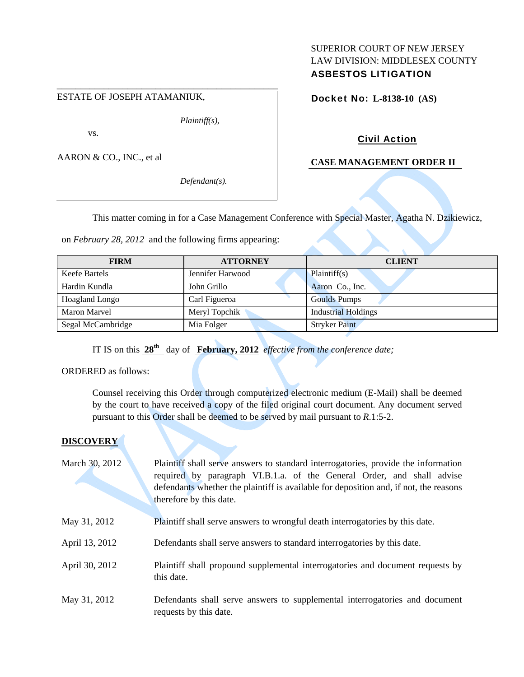### ESTATE OF JOSEPH ATAMANIUK,

*Plaintiff(s),* 

vs.

AARON & CO., INC., et al

*Defendant(s).* 

# SUPERIOR COURT OF NEW JERSEY LAW DIVISION: MIDDLESEX COUNTY ASBESTOS LITIGATION

Docket No: **L-8138-10 (AS)** 

# Civil Action

### **CASE MANAGEMENT ORDER II**

This matter coming in for a Case Management Conference with Special Master, Agatha N. Dzikiewicz,

on *February 28, 2012* and the following firms appearing:

\_\_\_\_\_\_\_\_\_\_\_\_\_\_\_\_\_\_\_\_\_\_\_\_\_\_\_\_\_\_\_\_\_\_\_\_\_\_\_\_\_\_\_\_\_\_\_

| <b>FIRM</b>           | <b>ATTORNEY</b>  | <b>CLIENT</b>              |
|-----------------------|------------------|----------------------------|
| Keefe Bartels         | Jennifer Harwood | Plaintiff(s)               |
| Hardin Kundla         | John Grillo      | Aaron Co., Inc.            |
| <b>Hoagland Longo</b> | Carl Figueroa    | <b>Goulds Pumps</b>        |
| Maron Marvel          | Meryl Topchik    | <b>Industrial Holdings</b> |
| Segal McCambridge     | Mia Folger       | <b>Stryker Paint</b>       |

IT IS on this  $28^{th}$  day of **February, 2012** *effective from the conference date;* 

ORDERED as follows:

Counsel receiving this Order through computerized electronic medium (E-Mail) shall be deemed by the court to have received a copy of the filed original court document. Any document served pursuant to this Order shall be deemed to be served by mail pursuant to *R*.1:5-2.

### **DISCOVERY**

| March 30, 2012 | Plaintiff shall serve answers to standard interrogatories, provide the information<br>required by paragraph VI.B.1.a. of the General Order, and shall advise<br>defendants whether the plaintiff is available for deposition and, if not, the reasons<br>therefore by this date. |
|----------------|----------------------------------------------------------------------------------------------------------------------------------------------------------------------------------------------------------------------------------------------------------------------------------|
| May 31, 2012   | Plaintiff shall serve answers to wrongful death interrogatories by this date.                                                                                                                                                                                                    |
| April 13, 2012 | Defendants shall serve answers to standard interrogatories by this date.                                                                                                                                                                                                         |
| April 30, 2012 | Plaintiff shall propound supplemental interrogatories and document requests by<br>this date.                                                                                                                                                                                     |
| May 31, 2012   | Defendants shall serve answers to supplemental interrogatories and document<br>requests by this date.                                                                                                                                                                            |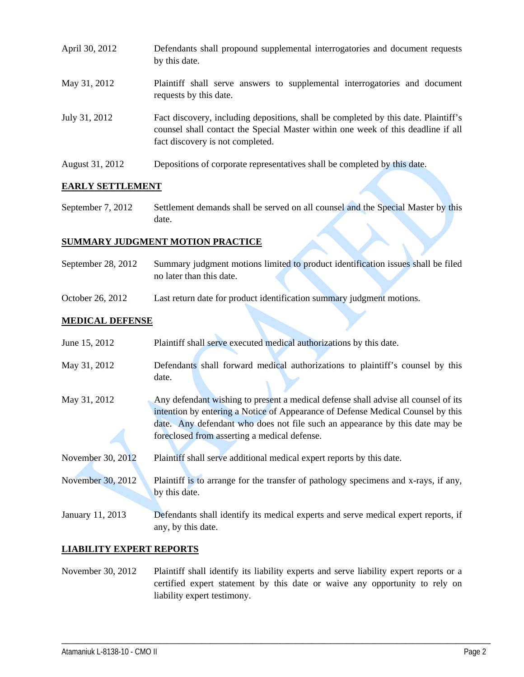- April 30, 2012 Defendants shall propound supplemental interrogatories and document requests by this date. May 31, 2012 Plaintiff shall serve answers to supplemental interrogatories and document requests by this date. July 31, 2012 Fact discovery, including depositions, shall be completed by this date. Plaintiff's counsel shall contact the Special Master within one week of this deadline if all fact discovery is not completed.
- August 31, 2012 Depositions of corporate representatives shall be completed by this date.

### **EARLY SETTLEMENT**

September 7, 2012 Settlement demands shall be served on all counsel and the Special Master by this date.

### **SUMMARY JUDGMENT MOTION PRACTICE**

- September 28, 2012 Summary judgment motions limited to product identification issues shall be filed no later than this date.
- October 26, 2012 Last return date for product identification summary judgment motions.

### **MEDICAL DEFENSE**

| June 15, 2012     | Plaintiff shall serve executed medical authorizations by this date.                                                                                                                                                                                                                                   |
|-------------------|-------------------------------------------------------------------------------------------------------------------------------------------------------------------------------------------------------------------------------------------------------------------------------------------------------|
| May 31, 2012      | Defendants shall forward medical authorizations to plaintiff's counsel by this<br>date.                                                                                                                                                                                                               |
| May 31, 2012      | Any defendant wishing to present a medical defense shall advise all counsel of its<br>intention by entering a Notice of Appearance of Defense Medical Counsel by this<br>date. Any defendant who does not file such an appearance by this date may be<br>foreclosed from asserting a medical defense. |
| November 30, 2012 | Plaintiff shall serve additional medical expert reports by this date.                                                                                                                                                                                                                                 |
| November 30, 2012 | Plaintiff is to arrange for the transfer of pathology specimens and x-rays, if any,<br>by this date.                                                                                                                                                                                                  |
| January 11, 2013  | Defendants shall identify its medical experts and serve medical expert reports, if<br>any, by this date.                                                                                                                                                                                              |

## **LIABILITY EXPERT REPORTS**

November 30, 2012 Plaintiff shall identify its liability experts and serve liability expert reports or a certified expert statement by this date or waive any opportunity to rely on liability expert testimony.

\_\_\_\_\_\_\_\_\_\_\_\_\_\_\_\_\_\_\_\_\_\_\_\_\_\_\_\_\_\_\_\_\_\_\_\_\_\_\_\_\_\_\_\_\_\_\_\_\_\_\_\_\_\_\_\_\_\_\_\_\_\_\_\_\_\_\_\_\_\_\_\_\_\_\_\_\_\_\_\_\_\_\_\_\_\_\_\_\_\_\_\_\_\_\_\_\_\_\_\_\_\_\_\_\_\_\_\_\_\_